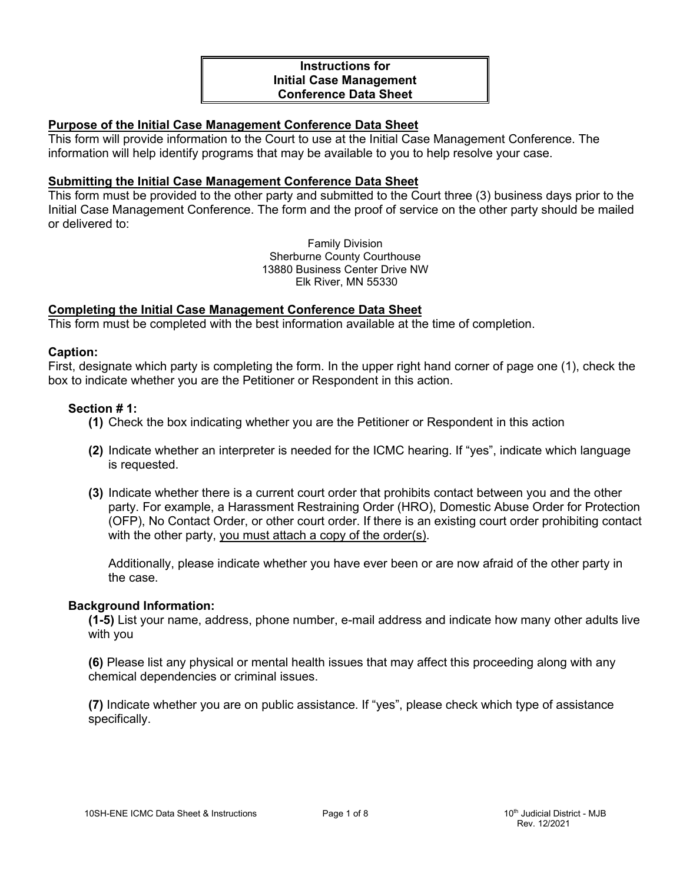# **Instructions for Initial Case Management Conference Data Sheet**

# **Purpose of the Initial Case Management Conference Data Sheet**

This form will provide information to the Court to use at the Initial Case Management Conference. The information will help identify programs that may be available to you to help resolve your case.

## **Submitting the Initial Case Management Conference Data Sheet**

This form must be provided to the other party and submitted to the Court three (3) business days prior to the Initial Case Management Conference. The form and the proof of service on the other party should be mailed or delivered to:

> Family Division Sherburne County Courthouse 13880 Business Center Drive NW Elk River, MN 55330

## **Completing the Initial Case Management Conference Data Sheet**

This form must be completed with the best information available at the time of completion.

#### **Caption:**

First, designate which party is completing the form. In the upper right hand corner of page one (1), check the box to indicate whether you are the Petitioner or Respondent in this action.

## **Section # 1:**

- **(1)** Check the box indicating whether you are the Petitioner or Respondent in this action
- **(2)** Indicate whether an interpreter is needed for the ICMC hearing. If "yes", indicate which language is requested.
- **(3)** Indicate whether there is a current court order that prohibits contact between you and the other party. For example, a Harassment Restraining Order (HRO), Domestic Abuse Order for Protection (OFP), No Contact Order, or other court order. If there is an existing court order prohibiting contact with the other party, you must attach a copy of the order(s).

Additionally, please indicate whether you have ever been or are now afraid of the other party in the case.

#### **Background Information:**

**(1-5)** List your name, address, phone number, e-mail address and indicate how many other adults live with you

**(6)** Please list any physical or mental health issues that may affect this proceeding along with any chemical dependencies or criminal issues.

**(7)** Indicate whether you are on public assistance. If "yes", please check which type of assistance specifically.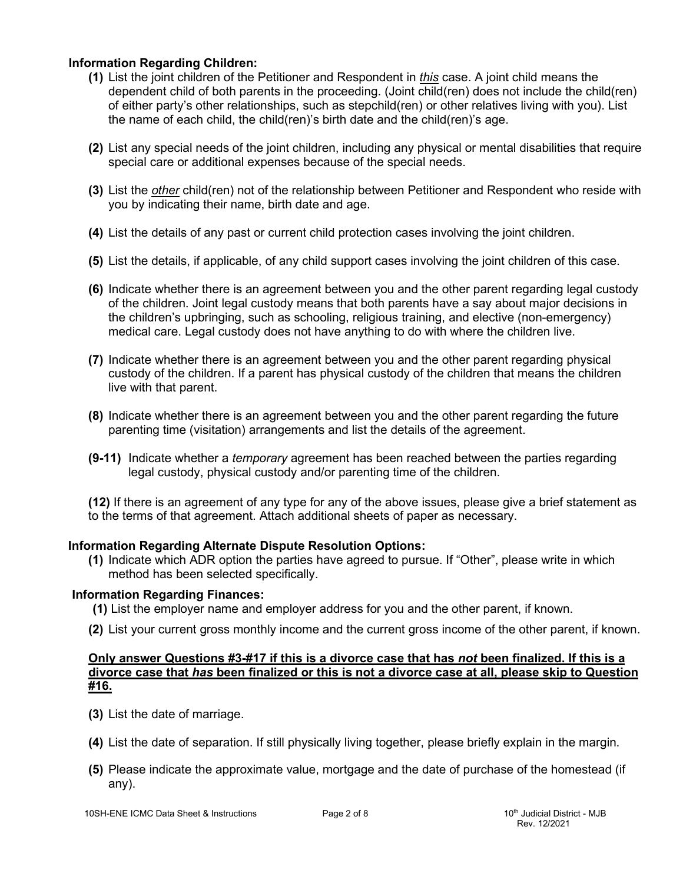# **Information Regarding Children:**

- **(1)** List the joint children of the Petitioner and Respondent in *this* case. A joint child means the dependent child of both parents in the proceeding. (Joint child(ren) does not include the child(ren) of either party's other relationships, such as stepchild(ren) or other relatives living with you). List the name of each child, the child(ren)'s birth date and the child(ren)'s age.
- **(2)** List any special needs of the joint children, including any physical or mental disabilities that require special care or additional expenses because of the special needs.
- **(3)** List the *other* child(ren) not of the relationship between Petitioner and Respondent who reside with you by indicating their name, birth date and age.
- **(4)** List the details of any past or current child protection cases involving the joint children.
- **(5)** List the details, if applicable, of any child support cases involving the joint children of this case.
- **(6)** Indicate whether there is an agreement between you and the other parent regarding legal custody of the children. Joint legal custody means that both parents have a say about major decisions in the children's upbringing, such as schooling, religious training, and elective (non-emergency) medical care. Legal custody does not have anything to do with where the children live.
- **(7)** Indicate whether there is an agreement between you and the other parent regarding physical custody of the children. If a parent has physical custody of the children that means the children live with that parent.
- **(8)** Indicate whether there is an agreement between you and the other parent regarding the future parenting time (visitation) arrangements and list the details of the agreement.
- **(9-11)** Indicate whether a *temporary* agreement has been reached between the parties regarding legal custody, physical custody and/or parenting time of the children.
- **(12)** If there is an agreement of any type for any of the above issues, please give a brief statement as to the terms of that agreement. Attach additional sheets of paper as necessary.

# **Information Regarding Alternate Dispute Resolution Options:**

**(1)** Indicate which ADR option the parties have agreed to pursue. If "Other", please write in which method has been selected specifically.

# **Information Regarding Finances:**

- **(1)** List the employer name and employer address for you and the other parent, if known.
- **(2)** List your current gross monthly income and the current gross income of the other parent, if known.

## **Only answer Questions #3-#17 if this is a divorce case that has** *not* **been finalized. If this is a divorce case that** *has* **been finalized or this is not a divorce case at all, please skip to Question #16.**

- **(3)** List the date of marriage.
- **(4)** List the date of separation. If still physically living together, please briefly explain in the margin.
- **(5)** Please indicate the approximate value, mortgage and the date of purchase of the homestead (if any).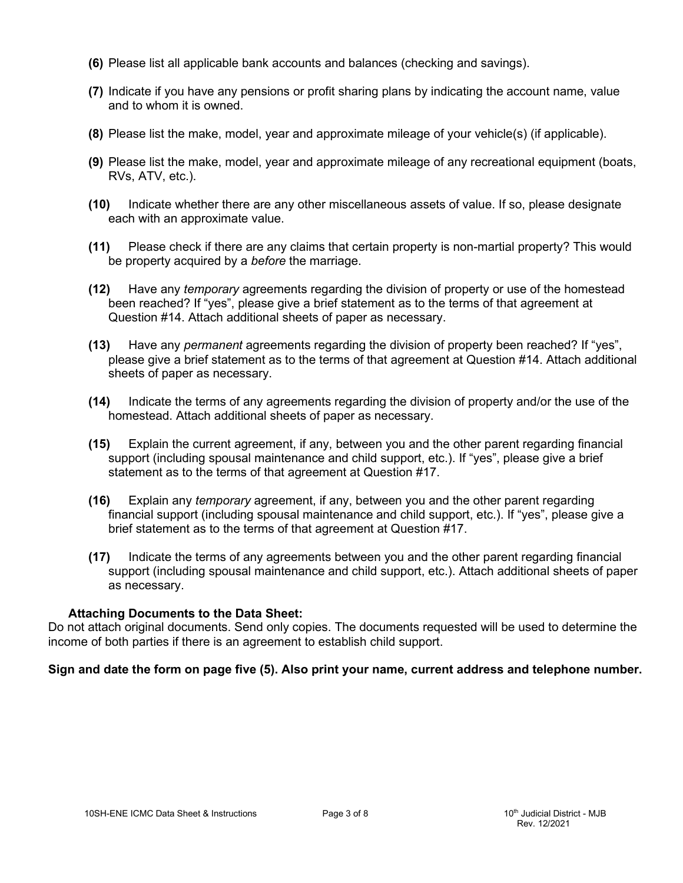- **(6)** Please list all applicable bank accounts and balances (checking and savings).
- **(7)** Indicate if you have any pensions or profit sharing plans by indicating the account name, value and to whom it is owned.
- **(8)** Please list the make, model, year and approximate mileage of your vehicle(s) (if applicable).
- **(9)** Please list the make, model, year and approximate mileage of any recreational equipment (boats, RVs, ATV, etc.).
- **(10)** Indicate whether there are any other miscellaneous assets of value. If so, please designate each with an approximate value.
- **(11)** Please check if there are any claims that certain property is non-martial property? This would be property acquired by a *before* the marriage.
- **(12)** Have any *temporary* agreements regarding the division of property or use of the homestead been reached? If "yes", please give a brief statement as to the terms of that agreement at Question #14. Attach additional sheets of paper as necessary.
- **(13)** Have any *permanent* agreements regarding the division of property been reached? If "yes", please give a brief statement as to the terms of that agreement at Question #14. Attach additional sheets of paper as necessary.
- **(14)** Indicate the terms of any agreements regarding the division of property and/or the use of the homestead. Attach additional sheets of paper as necessary.
- **(15)** Explain the current agreement, if any, between you and the other parent regarding financial support (including spousal maintenance and child support, etc.). If "yes", please give a brief statement as to the terms of that agreement at Question #17.
- **(16)** Explain any *temporary* agreement, if any, between you and the other parent regarding financial support (including spousal maintenance and child support, etc.). If "yes", please give a brief statement as to the terms of that agreement at Question #17.
- **(17)** Indicate the terms of any agreements between you and the other parent regarding financial support (including spousal maintenance and child support, etc.). Attach additional sheets of paper as necessary.

# **Attaching Documents to the Data Sheet:**

Do not attach original documents. Send only copies. The documents requested will be used to determine the income of both parties if there is an agreement to establish child support.

# **Sign and date the form on page five (5). Also print your name, current address and telephone number.**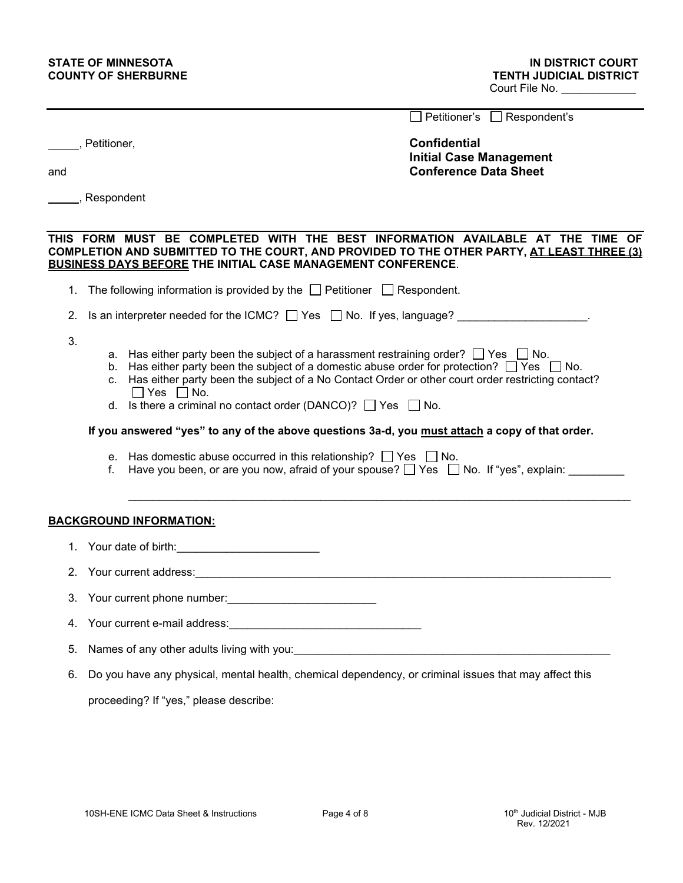|     |                                                                                                                                                                                                                                                                                                                                                                                                                                                                                                                                                                                                                                                                                                           | Petitioner's □ Respondent's                                                           |  |
|-----|-----------------------------------------------------------------------------------------------------------------------------------------------------------------------------------------------------------------------------------------------------------------------------------------------------------------------------------------------------------------------------------------------------------------------------------------------------------------------------------------------------------------------------------------------------------------------------------------------------------------------------------------------------------------------------------------------------------|---------------------------------------------------------------------------------------|--|
| and | ____, Petitioner,                                                                                                                                                                                                                                                                                                                                                                                                                                                                                                                                                                                                                                                                                         | <b>Confidential</b><br><b>Initial Case Management</b><br><b>Conference Data Sheet</b> |  |
|     | ______, Respondent                                                                                                                                                                                                                                                                                                                                                                                                                                                                                                                                                                                                                                                                                        |                                                                                       |  |
|     |                                                                                                                                                                                                                                                                                                                                                                                                                                                                                                                                                                                                                                                                                                           |                                                                                       |  |
|     | THIS FORM MUST BE COMPLETED WITH THE BEST INFORMATION AVAILABLE AT THE TIME OF<br>COMPLETION AND SUBMITTED TO THE COURT, AND PROVIDED TO THE OTHER PARTY, AT LEAST THREE (3)<br><b>BUSINESS DAYS BEFORE THE INITIAL CASE MANAGEMENT CONFERENCE.</b>                                                                                                                                                                                                                                                                                                                                                                                                                                                       |                                                                                       |  |
|     | 1. The following information is provided by the $\Box$ Petitioner $\Box$ Respondent.                                                                                                                                                                                                                                                                                                                                                                                                                                                                                                                                                                                                                      |                                                                                       |  |
|     | 2. Is an interpreter needed for the ICMC? $\Box$ Yes $\Box$ No. If yes, language?                                                                                                                                                                                                                                                                                                                                                                                                                                                                                                                                                                                                                         |                                                                                       |  |
| 3.  | a. Has either party been the subject of a harassment restraining order? $\Box$ Yes $\Box$ No.<br>b. Has either party been the subject of a domestic abuse order for protection? $\Box$ Yes $\Box$ No.<br>c. Has either party been the subject of a No Contact Order or other court order restricting contact?<br>$\Box$ Yes $\Box$ No.<br>d. Is there a criminal no contact order (DANCO)? $\Box$ Yes $\Box$ No.<br>If you answered "yes" to any of the above questions 3a-d, you must attach a copy of that order.<br>e. Has domestic abuse occurred in this relationship? $\Box$ Yes $\Box$ No.<br>Have you been, or are you now, afraid of your spouse? $\Box$ Yes $\Box$ No. If "yes", explain:<br>f. |                                                                                       |  |
|     | <b>BACKGROUND INFORMATION:</b>                                                                                                                                                                                                                                                                                                                                                                                                                                                                                                                                                                                                                                                                            |                                                                                       |  |
|     |                                                                                                                                                                                                                                                                                                                                                                                                                                                                                                                                                                                                                                                                                                           |                                                                                       |  |
|     |                                                                                                                                                                                                                                                                                                                                                                                                                                                                                                                                                                                                                                                                                                           |                                                                                       |  |
|     | 3. Your current phone number:<br><u> and</u> interinsic materials are the current of the number:                                                                                                                                                                                                                                                                                                                                                                                                                                                                                                                                                                                                          |                                                                                       |  |
| 4.  | Your current e-mail address: Marian Marian Address and Marian Marian Address and Marian Marian Marian Marian M                                                                                                                                                                                                                                                                                                                                                                                                                                                                                                                                                                                            |                                                                                       |  |
| 5.  |                                                                                                                                                                                                                                                                                                                                                                                                                                                                                                                                                                                                                                                                                                           |                                                                                       |  |
| 6.  | Do you have any physical, mental health, chemical dependency, or criminal issues that may affect this                                                                                                                                                                                                                                                                                                                                                                                                                                                                                                                                                                                                     |                                                                                       |  |
|     | proceeding? If "yes," please describe:                                                                                                                                                                                                                                                                                                                                                                                                                                                                                                                                                                                                                                                                    |                                                                                       |  |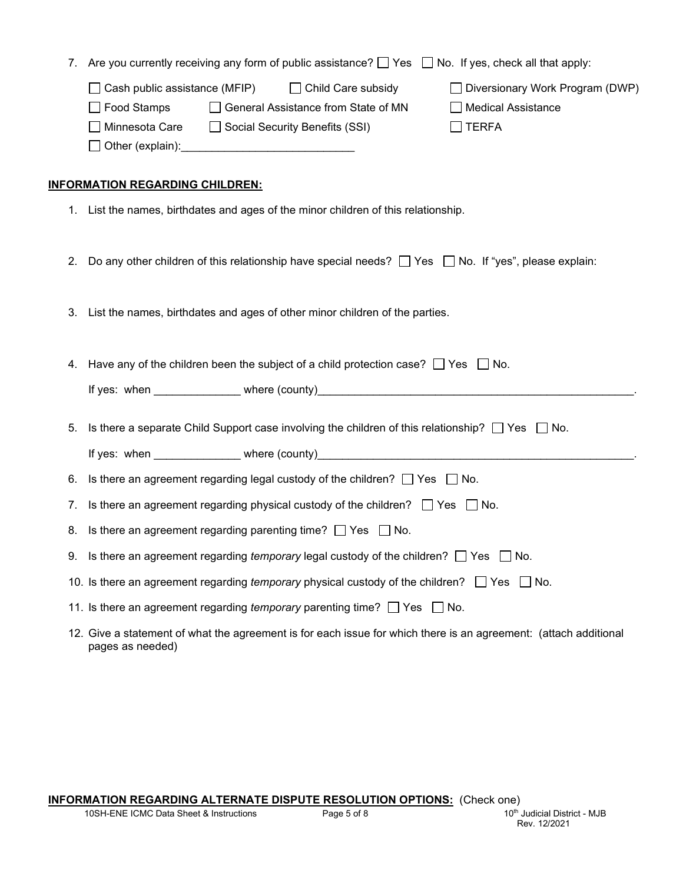| 7.                                                                                                                              |                                                                                           | Are you currently receiving any form of public assistance? $\Box$ Yes $\Box$ No. If yes, check all that apply:               |                                                                         |  |
|---------------------------------------------------------------------------------------------------------------------------------|-------------------------------------------------------------------------------------------|------------------------------------------------------------------------------------------------------------------------------|-------------------------------------------------------------------------|--|
|                                                                                                                                 | Cash public assistance (MFIP)<br>$\Box$ Food Stamps<br>Minnesota Care<br>Other (explain): | Child Care subsidy<br>$\mathbf{I}$<br>General Assistance from State of MN<br>Social Security Benefits (SSI)                  | Diversionary Work Program (DWP)<br>  Medical Assistance<br><b>TERFA</b> |  |
| <b>INFORMATION REGARDING CHILDREN:</b><br>List the names, birthdates and ages of the minor children of this relationship.<br>1. |                                                                                           |                                                                                                                              |                                                                         |  |
| 2.                                                                                                                              |                                                                                           | Do any other children of this relationship have special needs? $\vert \vert$ Yes $\vert \vert$ No. If "yes", please explain: |                                                                         |  |

3. List the names, birthdates and ages of other minor children of the parties.

4. Have any of the children been the subject of a child protection case?  $\Box$  Yes  $\Box$  No.

If yes: when \_\_\_\_\_\_\_\_\_\_\_\_\_\_ where (county)\_\_\_\_\_\_\_\_\_\_\_\_\_\_\_\_\_\_\_\_\_\_\_\_\_\_\_\_\_\_\_\_\_\_\_\_\_\_\_\_\_\_\_\_\_\_\_\_\_\_\_.

5. Is there a separate Child Support case involving the children of this relationship?  $\Box$  Yes  $\Box$  No.

If yes: when \_\_\_\_\_\_\_\_\_\_\_\_\_\_\_ where (county)

6. Is there an agreement regarding legal custody of the children?  $\Box$  Yes  $\Box$  No.

7. Is there an agreement regarding physical custody of the children?  $\Box$  Yes  $\Box$  No.

- 8. Is there an agreement regarding parenting time?  $\Box$  Yes  $\Box$  No.
- 9. Is there an agreement regarding *temporary* legal custody of the children?  $\Box$  Yes  $\Box$  No.
- 10. Is there an agreement regarding *temporary* physical custody of the children?  $\Box$  Yes  $\Box$  No.

11. Is there an agreement regarding *temporary* parenting time?  $\Box$  Yes  $\Box$  No.

12. Give a statement of what the agreement is for each issue for which there is an agreement: (attach additional pages as needed)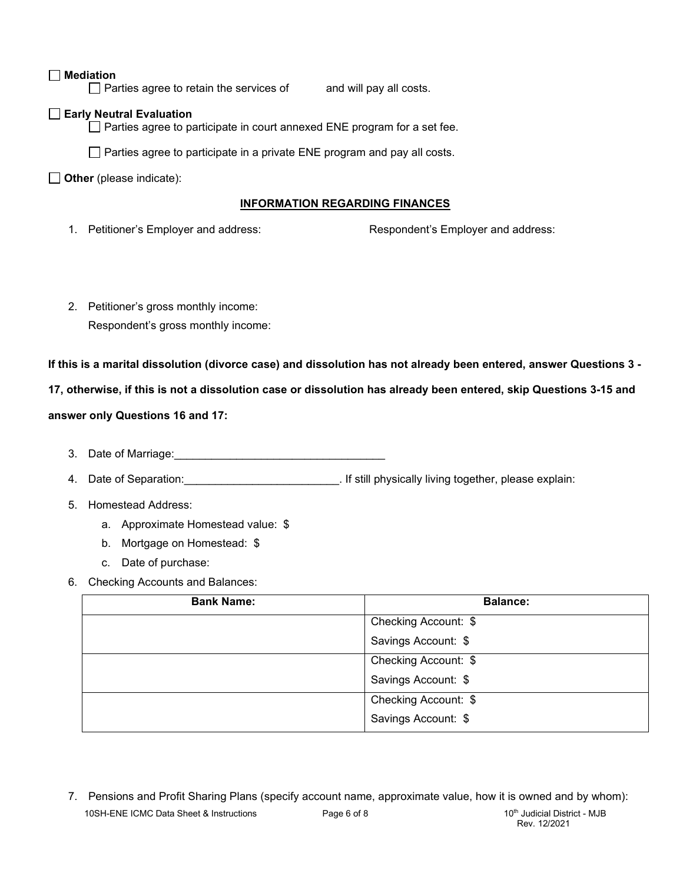### **Mediation**

 $\Box$  Parties agree to retain the services of and will pay all costs.

#### **Early Neutral Evaluation**

 $\Box$  Parties agree to participate in court annexed ENE program for a set fee.

 $\Box$  Parties agree to participate in a private ENE program and pay all costs.

**Other** (please indicate):

#### **INFORMATION REGARDING FINANCES**

1. Petitioner's Employer and address: Respondent's Employer and address:

2. Petitioner's gross monthly income: Respondent's gross monthly income:

**If this is a marital dissolution (divorce case) and dissolution has not already been entered, answer Questions 3 -**

**17, otherwise, if this is not a dissolution case or dissolution has already been entered, skip Questions 3-15 and** 

#### **answer only Questions 16 and 17:**

- 3. Date of Marriage:
- 4. Date of Separation:  $\blacksquare$  and  $\blacksquare$  if still physically living together, please explain:
- 5. Homestead Address:
	- a. Approximate Homestead value: \$
	- b. Mortgage on Homestead: \$
	- c. Date of purchase:
- 6. Checking Accounts and Balances:

| <b>Bank Name:</b> | <b>Balance:</b>      |
|-------------------|----------------------|
|                   | Checking Account: \$ |
|                   | Savings Account: \$  |
|                   | Checking Account: \$ |
|                   | Savings Account: \$  |
|                   | Checking Account: \$ |
|                   | Savings Account: \$  |

10SH-ENE ICMC Data Sheet & Instructions **Page 6 of 8** 10th Judicial District - MJB 7. Pensions and Profit Sharing Plans (specify account name, approximate value, how it is owned and by whom):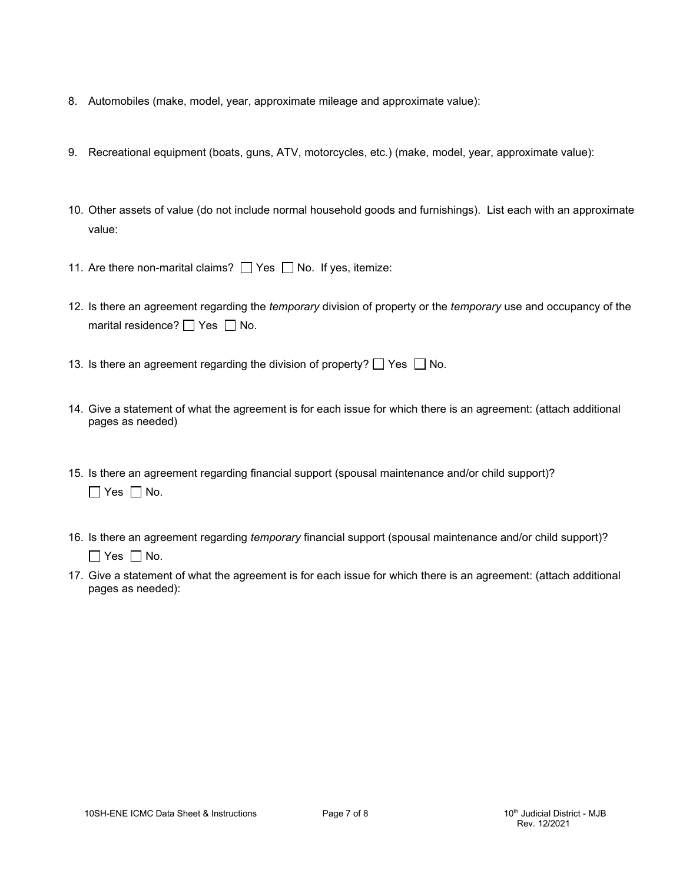- 8. Automobiles (make, model, year, approximate mileage and approximate value):
- 9. Recreational equipment (boats, guns, ATV, motorcycles, etc.) (make, model, year, approximate value):
- 10. Other assets of value (do not include normal household goods and furnishings). List each with an approximate value:
- 11. Are there non-marital claims?  $\Box$  Yes  $\Box$  No. If yes, itemize:
- 12. Is there an agreement regarding the *temporary* division of property or the *temporary* use and occupancy of the marital residence?  $\Box$  Yes  $\Box$  No.
- 13. Is there an agreement regarding the division of property?  $\Box$  Yes  $\Box$  No.
- 14. Give a statement of what the agreement is for each issue for which there is an agreement: (attach additional pages as needed)
- 15. Is there an agreement regarding financial support (spousal maintenance and/or child support)?  $\Box$  Yes  $\Box$  No.
- 16. Is there an agreement regarding *temporary* financial support (spousal maintenance and/or child support)?  $\Box$  Yes  $\Box$  No.
- 17. Give a statement of what the agreement is for each issue for which there is an agreement: (attach additional pages as needed):